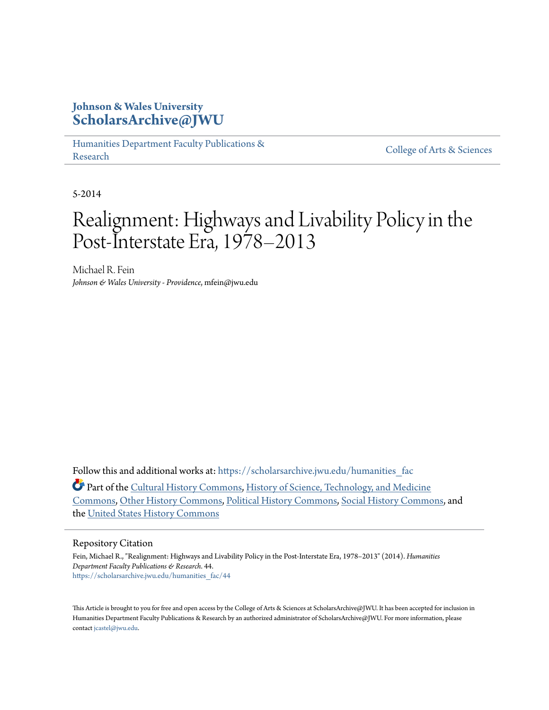# **Johnson & Wales University [ScholarsArchive@JWU](https://scholarsarchive.jwu.edu?utm_source=scholarsarchive.jwu.edu%2Fhumanities_fac%2F44&utm_medium=PDF&utm_campaign=PDFCoverPages)**

[Humanities Department Faculty Publications &](https://scholarsarchive.jwu.edu/humanities_fac?utm_source=scholarsarchive.jwu.edu%2Fhumanities_fac%2F44&utm_medium=PDF&utm_campaign=PDFCoverPages) rumanties Department Faculty 1 ubilearions & [College of Arts & Sciences](https://scholarsarchive.jwu.edu/arts_sciences?utm_source=scholarsarchive.jwu.edu%2Fhumanities_fac%2F44&utm_medium=PDF&utm_campaign=PDFCoverPages)

5-2014

# Realignment: Highways and Livability Policy in the Post-Interstate Era, 1978–2013

Michael R. Fein *Johnson & Wales University - Providence*, mfein@jwu.edu

Follow this and additional works at: https://scholarsarchive.jwu.edu/humanities fac

Part of the [Cultural History Commons,](http://network.bepress.com/hgg/discipline/496?utm_source=scholarsarchive.jwu.edu%2Fhumanities_fac%2F44&utm_medium=PDF&utm_campaign=PDFCoverPages) [History of Science, Technology, and Medicine](http://network.bepress.com/hgg/discipline/500?utm_source=scholarsarchive.jwu.edu%2Fhumanities_fac%2F44&utm_medium=PDF&utm_campaign=PDFCoverPages) [Commons,](http://network.bepress.com/hgg/discipline/500?utm_source=scholarsarchive.jwu.edu%2Fhumanities_fac%2F44&utm_medium=PDF&utm_campaign=PDFCoverPages) [Other History Commons,](http://network.bepress.com/hgg/discipline/508?utm_source=scholarsarchive.jwu.edu%2Fhumanities_fac%2F44&utm_medium=PDF&utm_campaign=PDFCoverPages) [Political History Commons](http://network.bepress.com/hgg/discipline/505?utm_source=scholarsarchive.jwu.edu%2Fhumanities_fac%2F44&utm_medium=PDF&utm_campaign=PDFCoverPages), [Social History Commons,](http://network.bepress.com/hgg/discipline/506?utm_source=scholarsarchive.jwu.edu%2Fhumanities_fac%2F44&utm_medium=PDF&utm_campaign=PDFCoverPages) and the [United States History Commons](http://network.bepress.com/hgg/discipline/495?utm_source=scholarsarchive.jwu.edu%2Fhumanities_fac%2F44&utm_medium=PDF&utm_campaign=PDFCoverPages)

# Repository Citation

Fein, Michael R., "Realignment: Highways and Livability Policy in the Post-Interstate Era, 1978–2013" (2014). *Humanities Department Faculty Publications & Research*. 44. [https://scholarsarchive.jwu.edu/humanities\\_fac/44](https://scholarsarchive.jwu.edu/humanities_fac/44?utm_source=scholarsarchive.jwu.edu%2Fhumanities_fac%2F44&utm_medium=PDF&utm_campaign=PDFCoverPages)

This Article is brought to you for free and open access by the College of Arts & Sciences at ScholarsArchive@JWU. It has been accepted for inclusion in Humanities Department Faculty Publications & Research by an authorized administrator of ScholarsArchive@JWU. For more information, please contact [jcastel@jwu.edu.](mailto:jcastel@jwu.edu)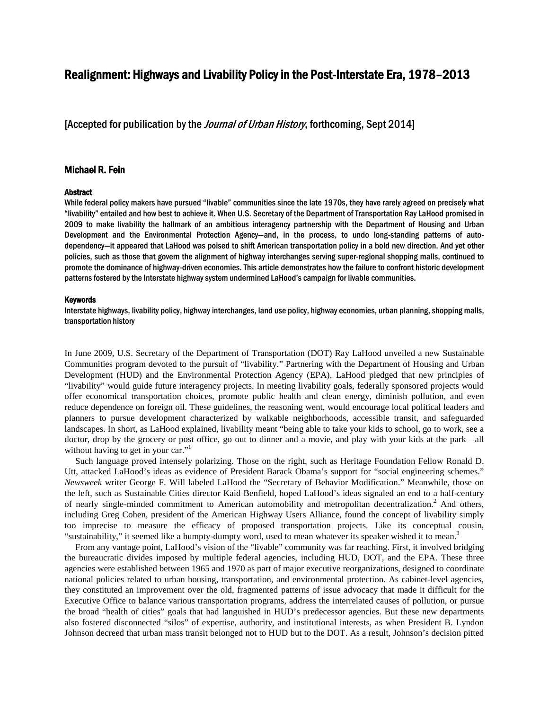# Realignment: Highways and Livability Policy in the Post-Interstate Era, 1978–2013

[Accepted for pubilication by the *Journal of Urban History*, forthcoming, Sept 2014]

# Michael R. Fein

## **Abstract**

While federal policy makers have pursued "livable" communities since the late 1970s, they have rarely agreed on precisely what "livability" entailed and how best to achieve it. When U.S. Secretary of the Department of Transportation Ray LaHood promised in 2009 to make livability the hallmark of an ambitious interagency partnership with the Department of Housing and Urban Development and the Environmental Protection Agency—and, in the process, to undo long-standing patterns of autodependency—it appeared that LaHood was poised to shift American transportation policy in a bold new direction. And yet other policies, such as those that govern the alignment of highway interchanges serving super-regional shopping malls, continued to promote the dominance of highway-driven economies. This article demonstrates how the failure to confront historic development patterns fostered by the Interstate highway system undermined LaHood's campaign for livable communities.

#### Keywords

Interstate highways, livability policy, highway interchanges, land use policy, highway economies, urban planning, shopping malls, transportation history

In June 2009, U.S. Secretary of the Department of Transportation (DOT) Ray LaHood unveiled a new Sustainable Communities program devoted to the pursuit of "livability." Partnering with the Department of Housing and Urban Development (HUD) and the Environmental Protection Agency (EPA), LaHood pledged that new principles of "livability" would guide future interagency projects. In meeting livability goals, federally sponsored projects would offer economical transportation choices, promote public health and clean energy, diminish pollution, and even reduce dependence on foreign oil. These guidelines, the reasoning went, would encourage local political leaders and planners to pursue development characterized by walkable neighborhoods, accessible transit, and safeguarded landscapes. In short, as LaHood explained, livability meant "being able to take your kids to school, go to work, see a doctor, drop by the grocery or post office, go out to dinner and a movie, and play with your kids at the park—all without having to get in your car."

Such language proved intensely polarizing. Those on the right, such as Heritage Foundation Fellow Ronald D. Utt, attacked LaHood's ideas as evidence of President Barack Obama's support for "social engineering schemes." *Newsweek* writer George F. Will labeled LaHood the "Secretary of Behavior Modification." Meanwhile, those on the left, such as Sustainable Cities director Kaid Benfield, hoped LaHood's ideas signaled an end to a half-century of nearly single-minded commitment to American automobility and metropolitan decentralization.<sup>2</sup> And others, including Greg Cohen, president of the American Highway Users Alliance, found the concept of livability simply too imprecise to measure the efficacy of proposed transportation projects. Like its conceptual cousin, "sustainability," it seemed like a humpty-dumpty word, used to mean whatever its speaker wished it to mean.<sup>3</sup>

From any vantage point, LaHood's vision of the "livable" community was far reaching. First, it involved bridging the bureaucratic divides imposed by multiple federal agencies, including HUD, DOT, and the EPA. These three agencies were established between 1965 and 1970 as part of major executive reorganizations, designed to coordinate national policies related to urban housing, transportation, and environmental protection. As cabinet-level agencies, they constituted an improvement over the old, fragmented patterns of issue advocacy that made it difficult for the Executive Office to balance various transportation programs, address the interrelated causes of pollution, or pursue the broad "health of cities" goals that had languished in HUD's predecessor agencies. But these new departments also fostered disconnected "silos" of expertise, authority, and institutional interests, as when President B. Lyndon Johnson decreed that urban mass transit belonged not to HUD but to the DOT. As a result, Johnson's decision pitted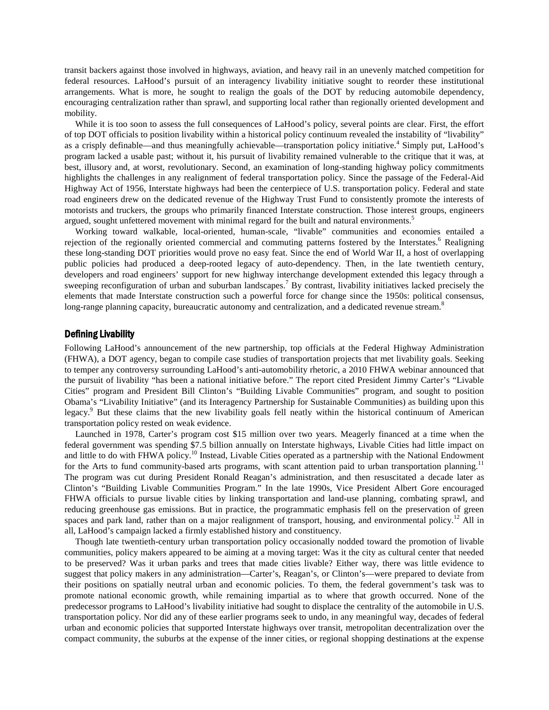transit backers against those involved in highways, aviation, and heavy rail in an unevenly matched competition for federal resources. LaHood's pursuit of an interagency livability initiative sought to reorder these institutional arrangements. What is more, he sought to realign the goals of the DOT by reducing automobile dependency, encouraging centralization rather than sprawl, and supporting local rather than regionally oriented development and mobility.

While it is too soon to assess the full consequences of LaHood's policy, several points are clear. First, the effort of top DOT officials to position livability within a historical policy continuum revealed the instability of "livability" as a crisply definable—and thus meaningfully achievable—transportation policy initiative.<sup>4</sup> Simply put, LaHood's program lacked a usable past; without it, his pursuit of livability remained vulnerable to the critique that it was, at best, illusory and, at worst, revolutionary. Second, an examination of long-standing highway policy commitments highlights the challenges in any realignment of federal transportation policy. Since the passage of the Federal-Aid Highway Act of 1956, Interstate highways had been the centerpiece of U.S. transportation policy. Federal and state road engineers drew on the dedicated revenue of the Highway Trust Fund to consistently promote the interests of motorists and truckers, the groups who primarily financed Interstate construction. Those interest groups, engineers argued, sought unfettered movement with minimal regard for the built and natural environments.<sup>5</sup>

Working toward walkable, local-oriented, human-scale, "livable" communities and economies entailed a rejection of the regionally oriented commercial and commuting patterns fostered by the Interstates.<sup>6</sup> Realigning these long-standing DOT priorities would prove no easy feat. Since the end of World War II, a host of overlapping public policies had produced a deep-rooted legacy of auto-dependency. Then, in the late twentieth century, developers and road engineers' support for new highway interchange development extended this legacy through a sweeping reconfiguration of urban and suburban landscapes.<sup>7</sup> By contrast, livability initiatives lacked precisely the elements that made Interstate construction such a powerful force for change since the 1950s: political consensus, long-range planning capacity, bureaucratic autonomy and centralization, and a dedicated revenue stream.<sup>8</sup>

## Defining Livability

Following LaHood's announcement of the new partnership, top officials at the Federal Highway Administration (FHWA), a DOT agency, began to compile case studies of transportation projects that met livability goals. Seeking to temper any controversy surrounding LaHood's anti-automobility rhetoric, a 2010 FHWA webinar announced that the pursuit of livability "has been a national initiative before." The report cited President Jimmy Carter's "Livable Cities" program and President Bill Clinton's "Building Livable Communities" program, and sought to position Obama's "Livability Initiative" (and its Interagency Partnership for Sustainable Communities) as building upon this legacy.<sup>9</sup> But these claims that the new livability goals fell neatly within the historical continuum of American transportation policy rested on weak evidence.

Launched in 1978, Carter's program cost \$15 million over two years. Meagerly financed at a time when the federal government was spending \$7.5 billion annually on Interstate highways, Livable Cities had little impact on and little to do with FHWA policy.<sup>10</sup> Instead, Livable Cities operated as a partnership with the National Endowment for the Arts to fund community-based arts programs, with scant attention paid to urban transportation planning.<sup>11</sup> The program was cut during President Ronald Reagan's administration, and then resuscitated a decade later as Clinton's "Building Livable Communities Program." In the late 1990s, Vice President Albert Gore encouraged FHWA officials to pursue livable cities by linking transportation and land-use planning, combating sprawl, and reducing greenhouse gas emissions. But in practice, the programmatic emphasis fell on the preservation of green spaces and park land, rather than on a major realignment of transport, housing, and environmental policy.<sup>12</sup> All in all, LaHood's campaign lacked a firmly established history and constituency.

Though late twentieth-century urban transportation policy occasionally nodded toward the promotion of livable communities, policy makers appeared to be aiming at a moving target: Was it the city as cultural center that needed to be preserved? Was it urban parks and trees that made cities livable? Either way, there was little evidence to suggest that policy makers in any administration—Carter's, Reagan's, or Clinton's—were prepared to deviate from their positions on spatially neutral urban and economic policies. To them, the federal government's task was to promote national economic growth, while remaining impartial as to where that growth occurred. None of the predecessor programs to LaHood's livability initiative had sought to displace the centrality of the automobile in U.S. transportation policy. Nor did any of these earlier programs seek to undo, in any meaningful way, decades of federal urban and economic policies that supported Interstate highways over transit, metropolitan decentralization over the compact community, the suburbs at the expense of the inner cities, or regional shopping destinations at the expense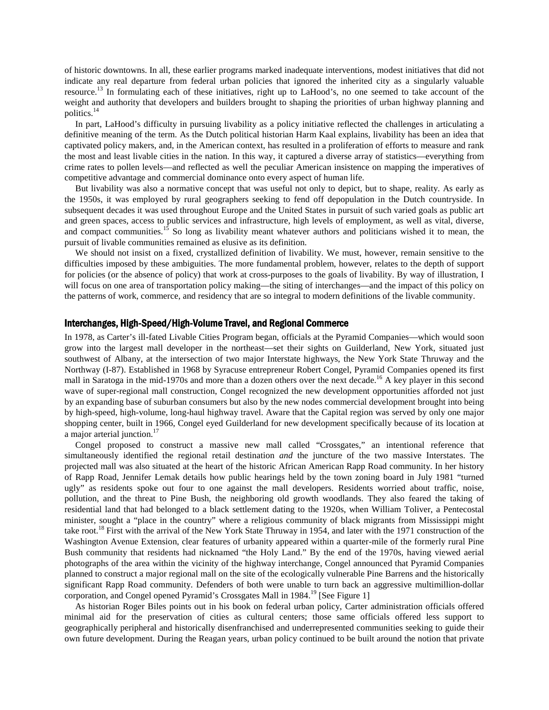of historic downtowns. In all, these earlier programs marked inadequate interventions, modest initiatives that did not indicate any real departure from federal urban policies that ignored the inherited city as a singularly valuable resource.<sup>13</sup> In formulating each of these initiatives, right up to LaHood's, no one seemed to take account of the weight and authority that developers and builders brought to shaping the priorities of urban highway planning and politics.<sup>14</sup>

In part, LaHood's difficulty in pursuing livability as a policy initiative reflected the challenges in articulating a definitive meaning of the term. As the Dutch political historian Harm Kaal explains, livability has been an idea that captivated policy makers, and, in the American context, has resulted in a proliferation of efforts to measure and rank the most and least livable cities in the nation. In this way, it captured a diverse array of statistics—everything from crime rates to pollen levels—and reflected as well the peculiar American insistence on mapping the imperatives of competitive advantage and commercial dominance onto every aspect of human life.

But livability was also a normative concept that was useful not only to depict, but to shape, reality. As early as the 1950s, it was employed by rural geographers seeking to fend off depopulation in the Dutch countryside. In subsequent decades it was used throughout Europe and the United States in pursuit of such varied goals as public art and green spaces, access to public services and infrastructure, high levels of employment, as well as vital, diverse, and compact communities.<sup>15</sup> So long as livability meant whatever authors and politicians wished it to mean, the pursuit of livable communities remained as elusive as its definition.

We should not insist on a fixed, crystallized definition of livability. We must, however, remain sensitive to the difficulties imposed by these ambiguities. The more fundamental problem, however, relates to the depth of support for policies (or the absence of policy) that work at cross-purposes to the goals of livability. By way of illustration, I will focus on one area of transportation policy making—the siting of interchanges—and the impact of this policy on the patterns of work, commerce, and residency that are so integral to modern definitions of the livable community.

# Interchanges, High-Speed/High-Volume Travel, and Regional Commerce

In 1978, as Carter's ill-fated Livable Cities Program began, officials at the Pyramid Companies—which would soon grow into the largest mall developer in the northeast—set their sights on Guilderland, New York, situated just southwest of Albany, at the intersection of two major Interstate highways, the New York State Thruway and the Northway (I-87). Established in 1968 by Syracuse entrepreneur Robert Congel, Pyramid Companies opened its first mall in Saratoga in the mid-1970s and more than a dozen others over the next decade.<sup>16</sup> A key player in this second wave of super-regional mall construction, Congel recognized the new development opportunities afforded not just by an expanding base of suburban consumers but also by the new nodes commercial development brought into being by high-speed, high-volume, long-haul highway travel. Aware that the Capital region was served by only one major shopping center, built in 1966, Congel eyed Guilderland for new development specifically because of its location at a major arterial junction.<sup>17</sup>

Congel proposed to construct a massive new mall called "Crossgates," an intentional reference that simultaneously identified the regional retail destination *and* the juncture of the two massive Interstates. The projected mall was also situated at the heart of the historic African American Rapp Road community. In her history of Rapp Road, Jennifer Lemak details how public hearings held by the town zoning board in July 1981 "turned ugly" as residents spoke out four to one against the mall developers. Residents worried about traffic, noise, pollution, and the threat to Pine Bush, the neighboring old growth woodlands. They also feared the taking of residential land that had belonged to a black settlement dating to the 1920s, when William Toliver, a Pentecostal minister, sought a "place in the country" where a religious community of black migrants from Mississippi might take root.<sup>18</sup> First with the arrival of the New York State Thruway in 1954, and later with the 1971 construction of the Washington Avenue Extension, clear features of urbanity appeared within a quarter-mile of the formerly rural Pine Bush community that residents had nicknamed "the Holy Land." By the end of the 1970s, having viewed aerial photographs of the area within the vicinity of the highway interchange, Congel announced that Pyramid Companies planned to construct a major regional mall on the site of the ecologically vulnerable Pine Barrens and the historically significant Rapp Road community. Defenders of both were unable to turn back an aggressive multimillion-dollar corporation, and Congel opened Pyramid's Crossgates Mall in 1984.<sup>19</sup> [See Figure 1]

As historian Roger Biles points out in his book on federal urban policy, Carter administration officials offered minimal aid for the preservation of cities as cultural centers; those same officials offered less support to geographically peripheral and historically disenfranchised and underrepresented communities seeking to guide their own future development. During the Reagan years, urban policy continued to be built around the notion that private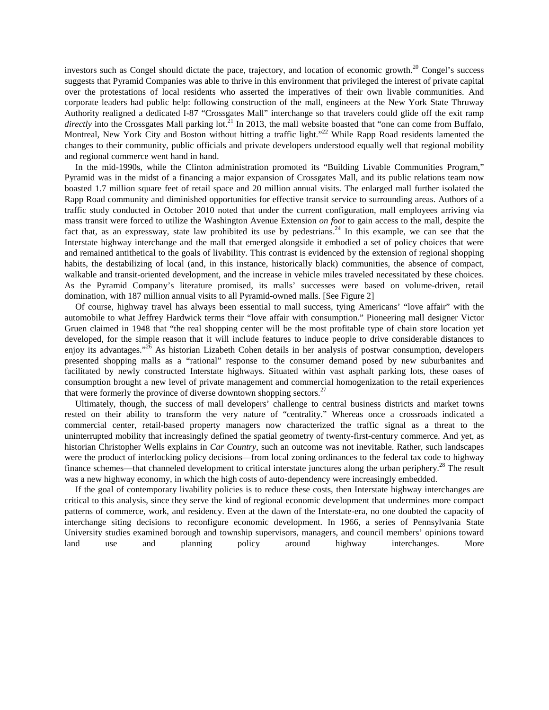investors such as Congel should dictate the pace, trajectory, and location of economic growth.<sup>20</sup> Congel's success suggests that Pyramid Companies was able to thrive in this environment that privileged the interest of private capital over the protestations of local residents who asserted the imperatives of their own livable communities. And corporate leaders had public help: following construction of the mall, engineers at the New York State Thruway Authority realigned a dedicated I-87 "Crossgates Mall" interchange so that travelers could glide off the exit ramp *directly* into the Crossgates Mall parking lot.<sup>21</sup> In 2013, the mall website boasted that "one can come from Buffalo, Montreal, New York City and Boston without hitting a traffic light."<sup>22</sup> While Rapp Road residents lamented the changes to their community, public officials and private developers understood equally well that regional mobility and regional commerce went hand in hand.

In the mid-1990s, while the Clinton administration promoted its "Building Livable Communities Program," Pyramid was in the midst of a financing a major expansion of Crossgates Mall, and its public relations team now boasted 1.7 million square feet of retail space and 20 million annual visits. The enlarged mall further isolated the Rapp Road community and diminished opportunities for effective transit service to surrounding areas. Authors of a traffic study conducted in October 2010 noted that under the current configuration, mall employees arriving via mass transit were forced to utilize the Washington Avenue Extension *on foot* to gain access to the mall, despite the fact that, as an expressway, state law prohibited its use by pedestrians.<sup>24</sup> In this example, we can see that the Interstate highway interchange and the mall that emerged alongside it embodied a set of policy choices that were and remained antithetical to the goals of livability. This contrast is evidenced by the extension of regional shopping habits, the destabilizing of local (and, in this instance, historically black) communities, the absence of compact, walkable and transit-oriented development, and the increase in vehicle miles traveled necessitated by these choices. As the Pyramid Company's literature promised, its malls' successes were based on volume-driven, retail domination, with 187 million annual visits to all Pyramid-owned malls. [See Figure 2]

Of course, highway travel has always been essential to mall success, tying Americans' "love affair" with the automobile to what Jeffrey Hardwick terms their "love affair with consumption." Pioneering mall designer Victor Gruen claimed in 1948 that "the real shopping center will be the most profitable type of chain store location yet developed, for the simple reason that it will include features to induce people to drive considerable distances to enjoy its advantages."<sup>26</sup> As historian Lizabeth Cohen details in her analysis of postwar consumption, developers presented shopping malls as a "rational" response to the consumer demand posed by new suburbanites and facilitated by newly constructed Interstate highways. Situated within vast asphalt parking lots, these oases of consumption brought a new level of private management and commercial homogenization to the retail experiences that were formerly the province of diverse downtown shopping sectors.<sup>27</sup>

Ultimately, though, the success of mall developers' challenge to central business districts and market towns rested on their ability to transform the very nature of "centrality." Whereas once a crossroads indicated a commercial center, retail-based property managers now characterized the traffic signal as a threat to the uninterrupted mobility that increasingly defined the spatial geometry of twenty-first-century commerce. And yet, as historian Christopher Wells explains in *Car Country*, such an outcome was not inevitable. Rather, such landscapes were the product of interlocking policy decisions—from local zoning ordinances to the federal tax code to highway finance schemes—that channeled development to critical interstate junctures along the urban periphery.<sup>28</sup> The result was a new highway economy, in which the high costs of auto-dependency were increasingly embedded.

If the goal of contemporary livability policies is to reduce these costs, then Interstate highway interchanges are critical to this analysis, since they serve the kind of regional economic development that undermines more compact patterns of commerce, work, and residency. Even at the dawn of the Interstate-era, no one doubted the capacity of interchange siting decisions to reconfigure economic development. In 1966, a series of Pennsylvania State University studies examined borough and township supervisors, managers, and council members' opinions toward land use and planning policy around highway interchanges. More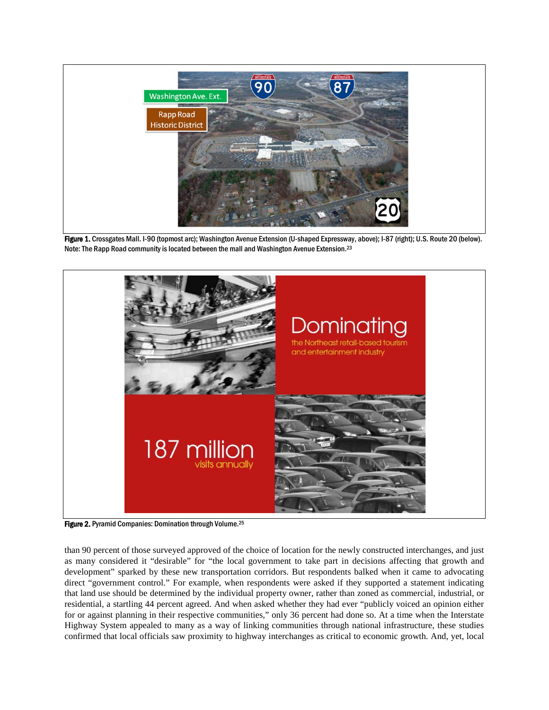

Figure 1. Crossgates Mall. I-90 (topmost arc); Washington Avenue Extension (U-shaped Expressway, above); I-87 (right); U.S. Route 20 (below). Note: The Rapp Road community is located between the mall and Washington Avenue Extension.23



Figure 2. Pyramid Companies: Domination through Volume.25

than 90 percent of those surveyed approved of the choice of location for the newly constructed interchanges, and just as many considered it "desirable" for "the local government to take part in decisions affecting that growth and development" sparked by these new transportation corridors. But respondents balked when it came to advocating direct "government control." For example, when respondents were asked if they supported a statement indicating that land use should be determined by the individual property owner, rather than zoned as commercial, industrial, or residential, a startling 44 percent agreed. And when asked whether they had ever "publicly voiced an opinion either for or against planning in their respective communities," only 36 percent had done so. At a time when the Interstate Highway System appealed to many as a way of linking communities through national infrastructure, these studies confirmed that local officials saw proximity to highway interchanges as critical to economic growth. And, yet, local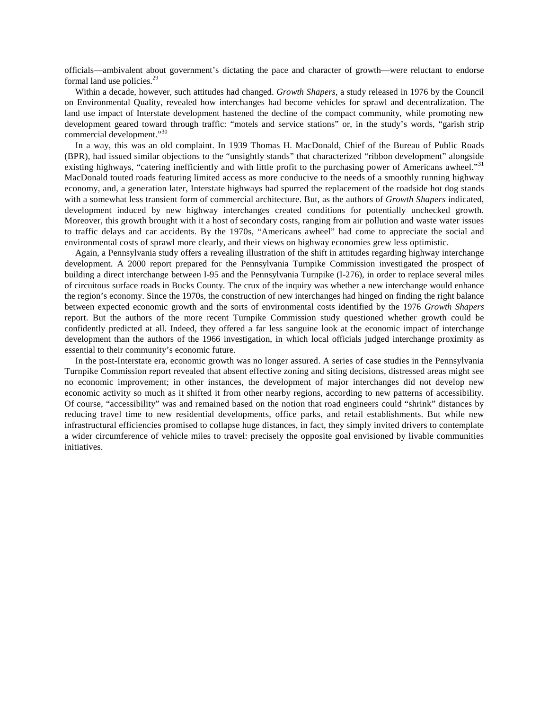officials—ambivalent about government's dictating the pace and character of growth—were reluctant to endorse formal land use policies.<sup>29</sup>

Within a decade, however, such attitudes had changed. *Growth Shapers*, a study released in 1976 by the Council on Environmental Quality, revealed how interchanges had become vehicles for sprawl and decentralization. The land use impact of Interstate development hastened the decline of the compact community, while promoting new development geared toward through traffic: "motels and service stations" or, in the study's words, "garish strip commercial development."<sup>30</sup>

In a way, this was an old complaint. In 1939 Thomas H. MacDonald, Chief of the Bureau of Public Roads (BPR), had issued similar objections to the "unsightly stands" that characterized "ribbon development" alongside existing highways, "catering inefficiently and with little profit to the purchasing power of Americans awheel."<sup>31</sup> MacDonald touted roads featuring limited access as more conducive to the needs of a smoothly running highway economy, and, a generation later, Interstate highways had spurred the replacement of the roadside hot dog stands with a somewhat less transient form of commercial architecture. But, as the authors of *Growth Shapers* indicated, development induced by new highway interchanges created conditions for potentially unchecked growth. Moreover, this growth brought with it a host of secondary costs, ranging from air pollution and waste water issues to traffic delays and car accidents. By the 1970s, "Americans awheel" had come to appreciate the social and environmental costs of sprawl more clearly, and their views on highway economies grew less optimistic.

Again, a Pennsylvania study offers a revealing illustration of the shift in attitudes regarding highway interchange development. A 2000 report prepared for the Pennsylvania Turnpike Commission investigated the prospect of building a direct interchange between I-95 and the Pennsylvania Turnpike (I-276), in order to replace several miles of circuitous surface roads in Bucks County. The crux of the inquiry was whether a new interchange would enhance the region's economy. Since the 1970s, the construction of new interchanges had hinged on finding the right balance between expected economic growth and the sorts of environmental costs identified by the 1976 *Growth Shapers* report. But the authors of the more recent Turnpike Commission study questioned whether growth could be confidently predicted at all. Indeed, they offered a far less sanguine look at the economic impact of interchange development than the authors of the 1966 investigation, in which local officials judged interchange proximity as essential to their community's economic future.

In the post-Interstate era, economic growth was no longer assured. A series of case studies in the Pennsylvania Turnpike Commission report revealed that absent effective zoning and siting decisions, distressed areas might see no economic improvement; in other instances, the development of major interchanges did not develop new economic activity so much as it shifted it from other nearby regions, according to new patterns of accessibility. Of course, "accessibility" was and remained based on the notion that road engineers could "shrink" distances by reducing travel time to new residential developments, office parks, and retail establishments. But while new infrastructural efficiencies promised to collapse huge distances, in fact, they simply invited drivers to contemplate a wider circumference of vehicle miles to travel: precisely the opposite goal envisioned by livable communities initiatives.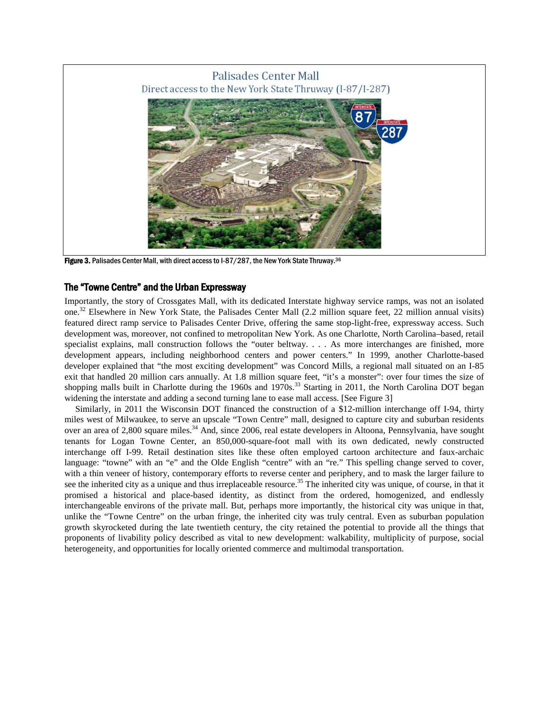

Figure 3. Palisades Center Mall, with direct access to I-87/287, the New York State Thruway.<sup>36</sup>

# The "Towne Centre" and the Urban Expressway

Importantly, the story of Crossgates Mall, with its dedicated Interstate highway service ramps, was not an isolated one.<sup>32</sup> Elsewhere in New York State, the Palisades Center Mall (2.2 million square feet, 22 million annual visits) featured direct ramp service to Palisades Center Drive, offering the same stop-light-free, expressway access. Such development was, moreover, not confined to metropolitan New York. As one Charlotte, North Carolina–based, retail specialist explains, mall construction follows the "outer beltway. . . . As more interchanges are finished, more development appears, including neighborhood centers and power centers." In 1999, another Charlotte-based developer explained that "the most exciting development" was Concord Mills, a regional mall situated on an I-85 exit that handled 20 million cars annually. At 1.8 million square feet, "it's a monster": over four times the size of shopping malls built in Charlotte during the 1960s and 1970s.<sup>33</sup> Starting in 2011, the North Carolina DOT began widening the interstate and adding a second turning lane to ease mall access. [See Figure 3]

Similarly, in 2011 the Wisconsin DOT financed the construction of a \$12-million interchange off I-94, thirty miles west of Milwaukee, to serve an upscale "Town Centre" mall, designed to capture city and suburban residents over an area of 2,800 square miles.<sup>34</sup> And, since 2006, real estate developers in Altoona, Pennsylvania, have sought tenants for Logan Towne Center, an 850,000-square-foot mall with its own dedicated, newly constructed interchange off I-99. Retail destination sites like these often employed cartoon architecture and faux-archaic language: "towne" with an "e" and the Olde English "centre" with an "re." This spelling change served to cover, with a thin veneer of history, contemporary efforts to reverse center and periphery, and to mask the larger failure to see the inherited city as a unique and thus irreplaceable resource.<sup>35</sup> The inherited city was unique, of course, in that it promised a historical and place-based identity, as distinct from the ordered, homogenized, and endlessly interchangeable environs of the private mall. But, perhaps more importantly, the historical city was unique in that, unlike the "Towne Centre" on the urban fringe, the inherited city was truly central. Even as suburban population growth skyrocketed during the late twentieth century, the city retained the potential to provide all the things that proponents of livability policy described as vital to new development: walkability, multiplicity of purpose, social heterogeneity, and opportunities for locally oriented commerce and multimodal transportation.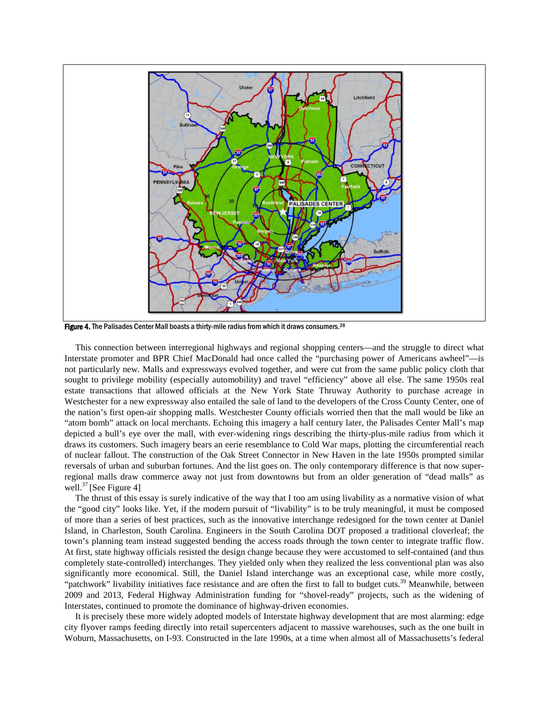

Figure 4. The Palisades Center Mall boasts a thirty-mile radius from which it draws consumers.<sup>38</sup>

This connection between interregional highways and regional shopping centers—and the struggle to direct what Interstate promoter and BPR Chief MacDonald had once called the "purchasing power of Americans awheel"—is not particularly new. Malls and expressways evolved together, and were cut from the same public policy cloth that sought to privilege mobility (especially automobility) and travel "efficiency" above all else. The same 1950s real estate transactions that allowed officials at the New York State Thruway Authority to purchase acreage in Westchester for a new expressway also entailed the sale of land to the developers of the Cross County Center, one of the nation's first open-air shopping malls. Westchester County officials worried then that the mall would be like an "atom bomb" attack on local merchants. Echoing this imagery a half century later, the Palisades Center Mall's map depicted a bull's eye over the mall, with ever-widening rings describing the thirty-plus-mile radius from which it draws its customers. Such imagery bears an eerie resemblance to Cold War maps, plotting the circumferential reach of nuclear fallout. The construction of the Oak Street Connector in New Haven in the late 1950s prompted similar reversals of urban and suburban fortunes. And the list goes on. The only contemporary difference is that now superregional malls draw commerce away not just from downtowns but from an older generation of "dead malls" as well. $37$  [See Figure 4]

The thrust of this essay is surely indicative of the way that I too am using livability as a normative vision of what the "good city" looks like. Yet, if the modern pursuit of "livability" is to be truly meaningful, it must be composed of more than a series of best practices, such as the innovative interchange redesigned for the town center at Daniel Island, in Charleston, South Carolina. Engineers in the South Carolina DOT proposed a traditional cloverleaf; the town's planning team instead suggested bending the access roads through the town center to integrate traffic flow. At first, state highway officials resisted the design change because they were accustomed to self-contained (and thus completely state-controlled) interchanges. They yielded only when they realized the less conventional plan was also significantly more economical. Still, the Daniel Island interchange was an exceptional case, while more costly, "patchwork" livability initiatives face resistance and are often the first to fall to budget cuts.<sup>39</sup> Meanwhile, between 2009 and 2013, Federal Highway Administration funding for "shovel-ready" projects, such as the widening of Interstates, continued to promote the dominance of highway-driven economies.

It is precisely these more widely adopted models of Interstate highway development that are most alarming: edge city flyover ramps feeding directly into retail supercenters adjacent to massive warehouses, such as the one built in Woburn, Massachusetts, on I-93. Constructed in the late 1990s, at a time when almost all of Massachusetts's federal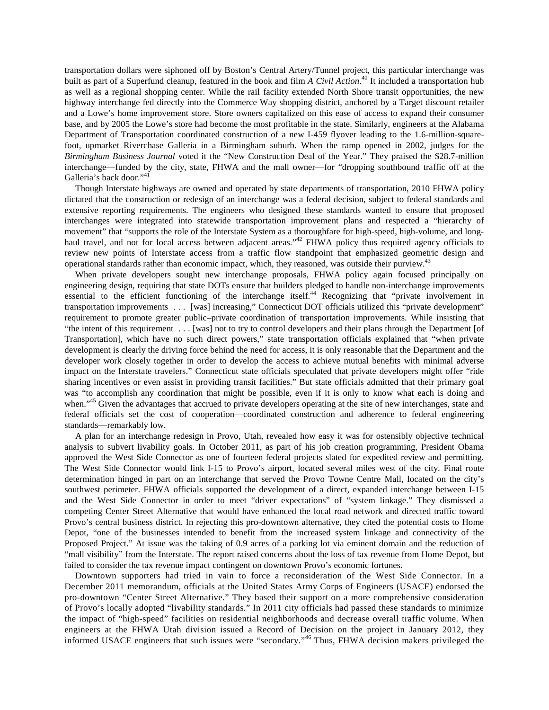transportation dollars were siphoned off by Boston's Central Artery/Tunnel project, this particular interchange was built as part of a Superfund cleanup, featured in the book and film *A Civil Action*. <sup>40</sup> It included a transportation hub as well as a regional shopping center. While the rail facility extended North Shore transit opportunities, the new highway interchange fed directly into the Commerce Way shopping district, anchored by a Target discount retailer and a Lowe's home improvement store. Store owners capitalized on this ease of access to expand their consumer base, and by 2005 the Lowe's store had become the most profitable in the state. Similarly, engineers at the Alabama Department of Transportation coordinated construction of a new I-459 flyover leading to the 1.6-million-squarefoot, upmarket Riverchase Galleria in a Birmingham suburb. When the ramp opened in 2002, judges for the *Birmingham Business Journal* voted it the "New Construction Deal of the Year." They praised the \$28.7-million interchange—funded by the city, state, FHWA and the mall owner—for "dropping southbound traffic off at the Galleria's back door."<sup>41</sup>

Though Interstate highways are owned and operated by state departments of transportation, 2010 FHWA policy dictated that the construction or redesign of an interchange was a federal decision, subject to federal standards and extensive reporting requirements. The engineers who designed these standards wanted to ensure that proposed interchanges were integrated into statewide transportation improvement plans and respected a "hierarchy of movement" that "supports the role of the Interstate System as a thoroughfare for high-speed, high-volume, and longhaul travel, and not for local access between adjacent areas."<sup>42</sup> FHWA policy thus required agency officials to review new points of Interstate access from a traffic flow standpoint that emphasized geometric design and operational standards rather than economic impact, which, they reasoned, was outside their purview.<sup>43</sup>

When private developers sought new interchange proposals, FHWA policy again focused principally on engineering design, requiring that state DOTs ensure that builders pledged to handle non-interchange improvements essential to the efficient functioning of the interchange itself.<sup>44</sup> Recognizing that "private involvement in transportation improvements . . . [was] increasing," Connecticut DOT officials utilized this "private development" requirement to promote greater public–private coordination of transportation improvements. While insisting that "the intent of this requirement . . . [was] not to try to control developers and their plans through the Department [of Transportation], which have no such direct powers," state transportation officials explained that "when private development is clearly the driving force behind the need for access, it is only reasonable that the Department and the developer work closely together in order to develop the access to achieve mutual benefits with minimal adverse impact on the Interstate travelers." Connecticut state officials speculated that private developers might offer "ride sharing incentives or even assist in providing transit facilities." But state officials admitted that their primary goal was "to accomplish any coordination that might be possible, even if it is only to know what each is doing and when."<sup>45</sup> Given the advantages that accrued to private developers operating at the site of new interchanges, state and federal officials set the cost of cooperation—coordinated construction and adherence to federal engineering standards—remarkably low.

A plan for an interchange redesign in Provo, Utah, revealed how easy it was for ostensibly objective technical analysis to subvert livability goals. In October 2011, as part of his job creation programming, President Obama approved the West Side Connector as one of fourteen federal projects slated for expedited review and permitting. The West Side Connector would link I-15 to Provo's airport, located several miles west of the city. Final route determination hinged in part on an interchange that served the Provo Towne Centre Mall, located on the city's southwest perimeter. FHWA officials supported the development of a direct, expanded interchange between I-15 and the West Side Connector in order to meet "driver expectations" of "system linkage." They dismissed a competing Center Street Alternative that would have enhanced the local road network and directed traffic toward Provo's central business district. In rejecting this pro-downtown alternative, they cited the potential costs to Home Depot, "one of the businesses intended to benefit from the increased system linkage and connectivity of the Proposed Project." At issue was the taking of 0.9 acres of a parking lot via eminent domain and the reduction of "mall visibility" from the Interstate. The report raised concerns about the loss of tax revenue from Home Depot, but failed to consider the tax revenue impact contingent on downtown Provo's economic fortunes.

Downtown supporters had tried in vain to force a reconsideration of the West Side Connector. In a December 2011 memorandum, officials at the United States Army Corps of Engineers (USACE) endorsed the pro-downtown "Center Street Alternative." They based their support on a more comprehensive consideration of Provo's locally adopted "livability standards." In 2011 city officials had passed these standards to minimize the impact of "high-speed" facilities on residential neighborhoods and decrease overall traffic volume. When engineers at the FHWA Utah division issued a Record of Decision on the project in January 2012, they informed USACE engineers that such issues were "secondary."<sup>46</sup> Thus, FHWA decision makers privileged the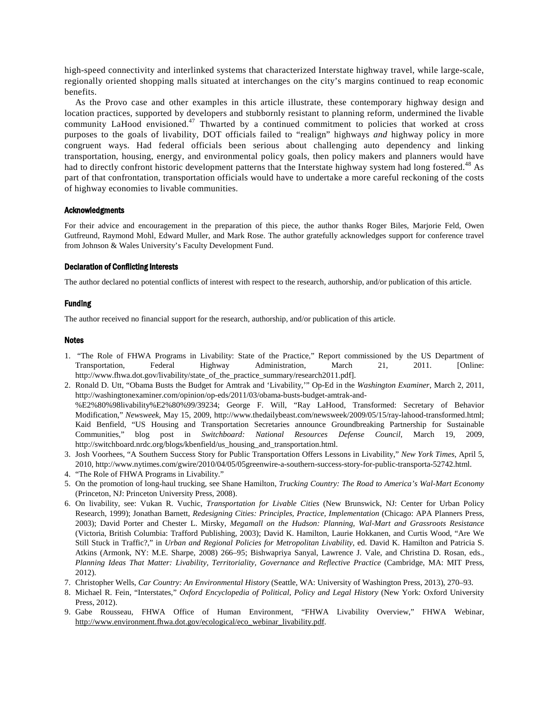high-speed connectivity and interlinked systems that characterized Interstate highway travel, while large-scale, regionally oriented shopping malls situated at interchanges on the city's margins continued to reap economic benefits.

As the Provo case and other examples in this article illustrate, these contemporary highway design and location practices, supported by developers and stubbornly resistant to planning reform, undermined the livable community LaHood envisioned.<sup>47</sup> Thwarted by a continued commitment to policies that worked at cross purposes to the goals of livability, DOT officials failed to "realign" highways *and* highway policy in more congruent ways. Had federal officials been serious about challenging auto dependency and linking transportation, housing, energy, and environmental policy goals, then policy makers and planners would have had to directly confront historic development patterns that the Interstate highway system had long fostered.<sup>48</sup> As part of that confrontation, transportation officials would have to undertake a more careful reckoning of the costs of highway economies to livable communities.

#### Acknowledgments

For their advice and encouragement in the preparation of this piece, the author thanks Roger Biles, Marjorie Feld, Owen Gutfreund, Raymond Mohl, Edward Muller, and Mark Rose. The author gratefully acknowledges support for conference travel from Johnson & Wales University's Faculty Development Fund.

#### Declaration of Conflicting Interests

The author declared no potential conflicts of interest with respect to the research, authorship, and/or publication of this article.

## Funding

The author received no financial support for the research, authorship, and/or publication of this article.

#### Notes

1. "The Role of FHWA Programs in Livability: State of the Practice," Report commissioned by the US Department of Transportation, Federal Highway Administration, March 21, 2011. [Online: http://www.fhwa.dot.gov/livability/state\_of\_the\_practice\_summary/research2011.pdf].

2. Ronald D. Utt, "Obama Busts the Budget for Amtrak and 'Livability,'" Op-Ed in the *Washington Examiner*, March 2, 2011, http://washingtonexaminer.com/opinion/op-eds/2011/03/obama-busts-budget-amtrak-and- %E2%80%98livability%E2%80%99/39234; George F. Will, "Ray LaHood, Transformed: Secretary of Behavior Modification," *Newsweek*, May 15, 2009, http://www.thedailybeast.com/newsweek/2009/05/15/ray-lahood-transformed.html; Kaid Benfield, "US Housing and Transportation Secretaries announce Groundbreaking Partnership for Sustainable Communities," blog post in *Switchboard: National Resources Defense Council*, March 19, 2009, http://switchboard.nrdc.org/blogs/kbenfield/us\_housing\_and\_transportation.html.

- 3. Josh Voorhees, "A Southern Success Story for Public Transportation Offers Lessons in Livability," *New York Times*, April 5, 2010, http://www.nytimes.com/gwire/2010/04/05/05greenwire-a-southern-success-story-for-public-transporta-52742.html.
- 4. "The Role of FHWA Programs in Livability."
- 5. On the promotion of long-haul trucking, see Shane Hamilton, *Trucking Country: The Road to America's Wal-Mart Economy* (Princeton, NJ: Princeton University Press, 2008).
- 6. On livability, see: Vukan R. Vuchic, *Transportation for Livable Cities* (New Brunswick, NJ: Center for Urban Policy Research, 1999); Jonathan Barnett, *Redesigning Cities: Principles, Practice, Implementation* (Chicago: APA Planners Press, 2003); David Porter and Chester L. Mirsky, *Megamall on the Hudson: Planning, Wal-Mart and Grassroots Resistance* (Victoria, British Columbia: Trafford Publishing, 2003); David K. Hamilton, Laurie Hokkanen, and Curtis Wood, "Are We Still Stuck in Traffic?," in *Urban and Regional Policies for Metropolitan Livability*, ed. David K. Hamilton and Patricia S. Atkins (Armonk, NY: M.E. Sharpe, 2008) 266–95; Bishwapriya Sanyal, Lawrence J. Vale, and Christina D. Rosan, eds., *Planning Ideas That Matter: Livability, Territoriality, Governance and Reflective Practice* (Cambridge, MA: MIT Press, 2012).
- 7. Christopher Wells, *Car Country: An Environmental History* (Seattle, WA: University of Washington Press, 2013), 270–93.
- 8. Michael R. Fein, "Interstates," *Oxford Encyclopedia of Political, Policy and Legal History* (New York: Oxford University Press, 2012).
- 9. Gabe Rousseau, FHWA Office of Human Environment, "FHWA Livability Overview," FHWA Webinar, [http://www.environment.fhwa.dot.gov/ecological/eco\\_webinar\\_livability.pdf.](http://www.environment.fhwa.dot.gov/ecological/eco_webinar_livability.pdf)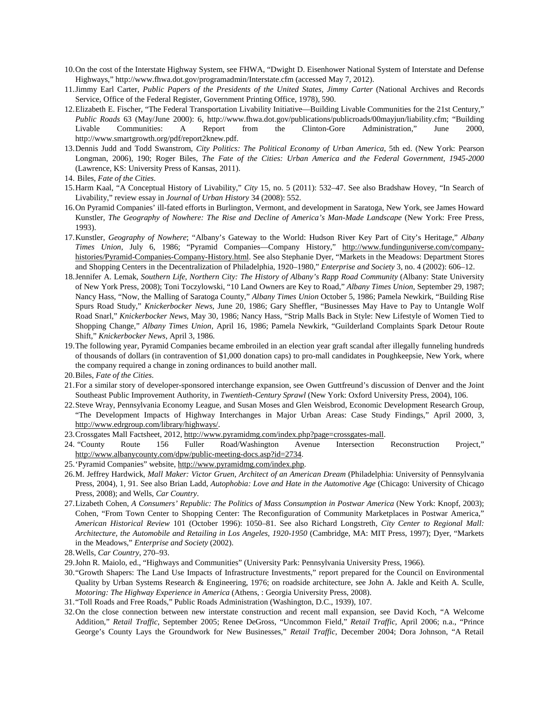- 10.On the cost of the Interstate Highway System, see FHWA, "Dwight D. Eisenhower National System of Interstate and Defense Highways," http://www.fhwa.dot.gov/programadmin/Interstate.cfm (accessed May 7, 2012).
- 11.Jimmy Earl Carter, *Public Papers of the Presidents of the United States, Jimmy Carter* (National Archives and Records Service, Office of the Federal Register, Government Printing Office, 1978), 590.
- 12.Elizabeth E. Fischer, "The Federal Transportation Livability Initiative—Building Livable Communities for the 21st Century," *Public Roads* 63 (May/June 2000): 6, http://www.fhwa.dot.gov/publications/publicroads/00mayjun/liability.cfm; "Building Livable Communities: A Report from the Clinton-Gore Administration," June 2000, http://www.smartgrowth.org/pdf/report2knew.pdf.
- 13.Dennis Judd and Todd Swanstrom, *City Politics: The Political Economy of Urban America*, 5th ed. (New York: Pearson Longman, 2006), 190; Roger Biles, *The Fate of the Cities: Urban America and the Federal Government, 1945-2000* (Lawrence, KS: University Press of Kansas, 2011).
- 14. Biles, *Fate of the Cities*.
- 15.Harm Kaal, "A Conceptual History of Livability," *City* 15, no. 5 (2011): 532–47. See also Bradshaw Hovey, "In Search of Livability," review essay in *Journal of Urban History* 34 (2008): 552.
- 16.On Pyramid Companies' ill-fated efforts in Burlington, Vermont, and development in Saratoga, New York, see James Howard Kunstler, *The Geography of Nowhere: The Rise and Decline of America's Man-Made Landscape* (New York: Free Press, 1993).
- 17.Kunstler, *Geography of Nowhere*; "Albany's Gateway to the World: Hudson River Key Part of City's Heritage," *Albany Times Union*, July 6, 1986; "Pyramid Companies—Company History," [http://www.fundinguniverse.com/company](http://www.fundinguniverse.com/company-histories/Pyramid-Companies-Company-History.html)[histories/Pyramid-Companies-Company-History.html.](http://www.fundinguniverse.com/company-histories/Pyramid-Companies-Company-History.html) See also Stephanie Dyer, "Markets in the Meadows: Department Stores and Shopping Centers in the Decentralization of Philadelphia, 1920–1980," *Enterprise and Society* 3, no. 4 (2002): 606–12.
- 18.Jennifer A. Lemak, *Southern Life, Northern City: The History of Albany's Rapp Road Community* (Albany: State University of New York Press, 2008); Toni Toczylowski, "10 Land Owners are Key to Road," *Albany Times Union*, September 29, 1987; Nancy Hass, "Now, the Malling of Saratoga County," *Albany Times Union* October 5, 1986; Pamela Newkirk, "Building Rise Spurs Road Study," *Knickerbocker News*, June 20, 1986; Gary Sheffler, "Businesses May Have to Pay to Untangle Wolf Road Snarl," *Knickerbocker News*, May 30, 1986; Nancy Hass, "Strip Malls Back in Style: New Lifestyle of Women Tied to Shopping Change," *Albany Times Union*, April 16, 1986; Pamela Newkirk, "Guilderland Complaints Spark Detour Route Shift," *Knickerbocker News*, April 3, 1986.
- 19.The following year, Pyramid Companies became embroiled in an election year graft scandal after illegally funneling hundreds of thousands of dollars (in contravention of \$1,000 donation caps) to pro-mall candidates in Poughkeepsie, New York, where the company required a change in zoning ordinances to build another mall.
- 20.Biles, *Fate of the Cities*.
- 21.For a similar story of developer-sponsored interchange expansion, see Owen Guttfreund's discussion of Denver and the Joint Southeast Public Improvement Authority, in *Twentieth-Century Sprawl* (New York: Oxford University Press, 2004), 106.
- 22.Steve Wray, Pennsylvania Economy League, and Susan Moses and Glen Weisbrod, Economic Development Research Group, "The Development Impacts of Highway Interchanges in Major Urban Areas: Case Study Findings," April 2000, 3, [http://www.edrgroup.com/library/highways/.](http://www.edrgroup.com/library/highways/)
- 23.Crossgates Mall Factsheet, 2012[, http://www.pyramidmg.com/index.php?page=crossgates-mall.](http://www.pyramidmg.com/index.php?page=crossgates-mall)
- 24. "County Route 156 Fuller Road/Washington Avenue Intersection Reconstruction Project," [http://www.albanycounty.com/dpw/public-meeting-docs.asp?id=2734.](http://www.albanycounty.com/dpw/public-meeting-docs.asp?id=2734)
- 25.'Pyramid Companies" website[, http://www.pyramidmg.com/index.php.](http://www.pyramidmg.com/index.php)
- 26.M. Jeffrey Hardwick, *Mall Maker: Victor Gruen, Architect of an American Dream* (Philadelphia: University of Pennsylvania Press, 2004), 1, 91. See also Brian Ladd, *Autophobia: Love and Hate in the Automotive Age* (Chicago: University of Chicago Press, 2008); and Wells, *Car Country*.
- 27.Lizabeth Cohen, *A Consumers' Republic: The Politics of Mass Consumption in Postwar America* (New York: Knopf, 2003); Cohen, "From Town Center to Shopping Center: The Reconfiguration of Community Marketplaces in Postwar America," *American Historical Review* 101 (October 1996): 1050–81. See also Richard Longstreth, *City Center to Regional Mall: Architecture, the Automobile and Retailing in Los Angeles, 1920-1950* (Cambridge, MA: MIT Press, 1997); Dyer, "Markets in the Meadows," *Enterprise and Society* (2002).
- 28.Wells, *Car Country*, 270–93.
- 29.John R. Maiolo, ed., "Highways and Communities" (University Park: Pennsylvania University Press, 1966).
- 30."Growth Shapers: The Land Use Impacts of Infrastructure Investments," report prepared for the Council on Environmental Quality by Urban Systems Research & Engineering, 1976; on roadside architecture, see John A. Jakle and Keith A. Sculle, *Motoring: The Highway Experience in America* (Athens, : Georgia University Press, 2008).
- 31."Toll Roads and Free Roads," Public Roads Administration (Washington, D.C., 1939), 107.
- 32.On the close connection between new interstate construction and recent mall expansion, see David Koch, "A Welcome Addition," *Retail Traffic*, September 2005; Renee DeGross, "Uncommon Field," *Retail Traffic*, April 2006; n.a., "Prince George's County Lays the Groundwork for New Businesses," *Retail Traffic*, December 2004; Dora Johnson, "A Retail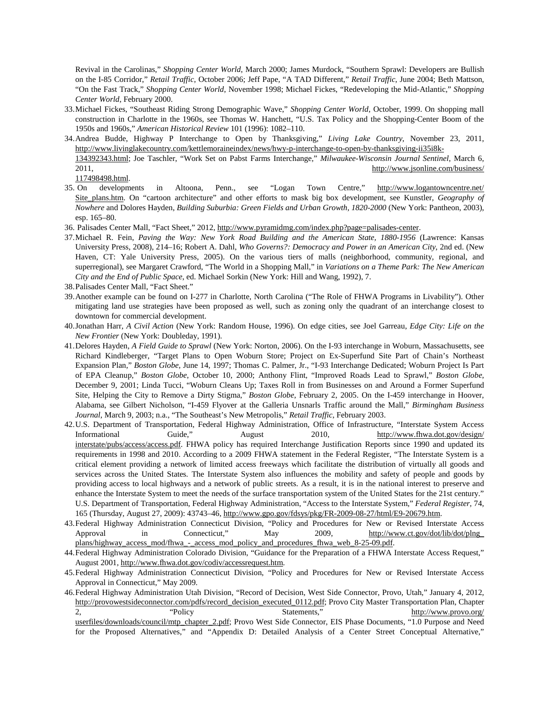Revival in the Carolinas," *Shopping Center World*, March 2000; James Murdock, "Southern Sprawl: Developers are Bullish on the I-85 Corridor," *Retail Traffic*, October 2006; Jeff Pape, "A TAD Different," *Retail Traffic*, June 2004; Beth Mattson, "On the Fast Track," *Shopping Center World*, November 1998; Michael Fickes, "Redeveloping the Mid-Atlantic," *Shopping Center World*, February 2000.

- 33.Michael Fickes, "Southeast Riding Strong Demographic Wave," *Shopping Center World*, October, 1999. On shopping mall construction in Charlotte in the 1960s, see Thomas W. Hanchett, "U.S. Tax Policy and the Shopping-Center Boom of the 1950s and 1960s," *American Historical Review* 101 (1996): 1082–110.
- 34.Andrea Budde, Highway P Interchange to Open by Thanksgiving," *Living Lake Country*, November 23, 2011, [http://www.livinglakecountry.com/kettlemoraineindex/news/hwy-p-interchange-to-open-by-thanksgiving-ii35i8k-](http://www.livinglakecountry.com/kettlemoraineindex/news/hwy-p-interchange-to-open-by-thanksgiving-ii35i8k-134392343.html)[134392343.html;](http://www.livinglakecountry.com/kettlemoraineindex/news/hwy-p-interchange-to-open-by-thanksgiving-ii35i8k-134392343.html) Joe Taschler, "Work Set on Pabst Farms Interchange," *Milwaukee-Wisconsin Journal Sentinel*, March 6,
- 2011, [http://www.jsonline.com/business/](http://www.jsonline.com/business/117498498.html)
- [117498498.html.](http://www.jsonline.com/business/117498498.html)
- 35. On developments in Altoona, Penn., see "Logan Town Centre," [http://www.logantowncentre.net/](http://www.logantowncentre.net/Site_plans.htm) Site plans.htm. On "cartoon architecture" and other efforts to mask big box development, see Kunstler, *Geography of Nowhere* and Dolores Hayden, *Building Suburbia: Green Fields and Urban Growth, 1820-2000* (New York: Pantheon, 2003), esp. 165–80.
- 36. Palisades Center Mall, "Fact Sheet," 2012[, http://www.pyramidmg.com/index.php?page=palisades-center.](http://www.pyramidmg.com/index.php?page=palisades-center)
- 37.Michael R. Fein, *Paving the Way: New York Road Building and the American State, 1880-1956* (Lawrence: Kansas University Press, 2008), 214–16; Robert A. Dahl, *Who Governs?: Democracy and Power in an American City*, 2nd ed. (New Haven, CT: Yale University Press, 2005). On the various tiers of malls (neighborhood, community, regional, and superregional), see Margaret Crawford, "The World in a Shopping Mall," in *Variations on a Theme Park: The New American City and the End of Public Space*, ed. Michael Sorkin (New York: Hill and Wang, 1992), 7.
- 38.Palisades Center Mall, "Fact Sheet."
- 39.Another example can be found on I-277 in Charlotte, North Carolina ("The Role of FHWA Programs in Livability"). Other mitigating land use strategies have been proposed as well, such as zoning only the quadrant of an interchange closest to downtown for commercial development.
- 40.Jonathan Harr, *A Civil Action* (New York: Random House, 1996). On edge cities, see Joel Garreau, *Edge City: Life on the New Frontier* (New York: Doubleday, 1991).
- 41.Delores Hayden, *A Field Guide to Sprawl* (New York: Norton, 2006). On the I-93 interchange in Woburn, Massachusetts, see Richard Kindleberger, "Target Plans to Open Woburn Store; Project on Ex-Superfund Site Part of Chain's Northeast Expansion Plan," *Boston Globe*, June 14, 1997; Thomas C. Palmer, Jr., "I-93 Interchange Dedicated; Woburn Project Is Part of EPA Cleanup," *Boston Globe*, October 10, 2000; Anthony Flint, "Improved Roads Lead to Sprawl," *Boston Globe*, December 9, 2001; Linda Tucci, "Woburn Cleans Up; Taxes Roll in from Businesses on and Around a Former Superfund Site, Helping the City to Remove a Dirty Stigma," *Boston Globe*, February 2, 2005. On the I-459 interchange in Hoover, Alabama, see Gilbert Nicholson, "I-459 Flyover at the Galleria Unsnarls Traffic around the Mall," *Birmingham Business Journal*, March 9, 2003; n.a., "The Southeast's New Metropolis," *Retail Traffic*, February 2003.
- 42.U.S. Department of Transportation, Federal Highway Administration, Office of Infrastructure, "Interstate System Access Informational Guide," August 2010, [http://www.fhwa.dot.gov/design/](http://www.fhwa.dot.gov/design/interstate/pubs/access/access.pdf) [interstate/pubs/access/access.pdf.](http://www.fhwa.dot.gov/design/interstate/pubs/access/access.pdf) FHWA policy has required Interchange Justification Reports since 1990 and updated its requirements in 1998 and 2010. According to a 2009 FHWA statement in the Federal Register, "The Interstate System is a critical element providing a network of limited access freeways which facilitate the distribution of virtually all goods and services across the United States. The Interstate System also influences the mobility and safety of people and goods by providing access to local highways and a network of public streets. As a result, it is in the national interest to preserve and enhance the Interstate System to meet the needs of the surface transportation system of the United States for the 21st century." U.S. Department of Transportation, Federal Highway Administration, "Access to the Interstate System," *Federal Register*, 74, 165 (Thursday, August 27, 2009): 43743–46[, http://www.gpo.gov/fdsys/pkg/FR-2009-08-27/html/E9-20679.htm.](http://www.gpo.gov/fdsys/pkg/FR-2009-08-27/html/E9-20679.htm)
- 43. Federal Highway Administration Connecticut Division, "Policy and Procedures for New or Revised Interstate Access<br>Approval in Connecticut," May 2009, http://www.ct.gov/dot/lib/dot/plng Approval in Connecticut," May 2009, http://www.ct.gov/dot/lib/dot/plng [plans/highway\\_access\\_mod/fhwa\\_-\\_access\\_mod\\_policy\\_and\\_procedures\\_fhwa\\_web\\_8-25-09.pdf.](http://www.ct.gov/dot/lib/dot/plng_plans/highway_access_mod/fhwa_-_access_mod_policy_and_procedures_fhwa_web_8-25-09.pdf)
- 44.Federal Highway Administration Colorado Division, "Guidance for the Preparation of a FHWA Interstate Access Request," August 2001, [http://www.fhwa.dot.gov/codiv/accessrequest.htm.](http://www.fhwa.dot.gov/codiv/accessrequest.htm)
- 45.Federal Highway Administration Connecticut Division, "Policy and Procedures for New or Revised Interstate Access Approval in Connecticut," May 2009.
- 46.Federal Highway Administration Utah Division, "Record of Decision, West Side Connector, Provo, Utah," January 4, 2012, [http://provowestsideconnector.com/pdfs/record\\_decision\\_executed\\_0112.pdf;](http://provowestsideconnector.com/pdfs/record_decision_executed_0112.pdf) Provo City Master Transportation Plan, Chapter 2,  $2^{\circ}$   $\text{Policy}$  Statements,"  $\frac{\text{http://www.provo.org/}}{\text{http://www.provo.org/}}$  $\frac{\text{http://www.provo.org/}}{\text{http://www.provo.org/}}$  $\frac{\text{http://www.provo.org/}}{\text{http://www.provo.org/}}$ [userfiles/downloads/council/mtp\\_chapter\\_2.pdf;](http://www.provo.org/userfiles/downloads/council/mtp_chapter_2.pdf) Provo West Side Connector, EIS Phase Documents, "1.0 Purpose and Need for the Proposed Alternatives," and "Appendix D: Detailed Analysis of a Center Street Conceptual Alternative,"